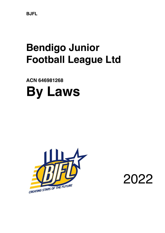**BJFL**

# **Bendigo Junior Football League Ltd**

**ACN 646981268 By Laws**



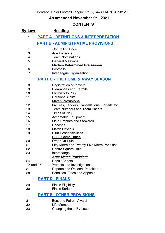# **As amended November 2nd, 2021**

# **CONTENTS**

| <u>By-Law</u>                              | <b>Heading</b>                                                   |  |  |  |
|--------------------------------------------|------------------------------------------------------------------|--|--|--|
| 1                                          | <b>PART A - DEFINITIONS &amp; INTERPRETATION</b>                 |  |  |  |
|                                            | <b>PART B - ADMINISTRATIVE PROVISIONS</b>                        |  |  |  |
| 2                                          | <b>Controlling Body</b>                                          |  |  |  |
| 3                                          | <b>Age Divisions</b>                                             |  |  |  |
| 4                                          | <b>Team Nominations</b>                                          |  |  |  |
| 5                                          | <b>General Meetings</b><br><b>Matters Determined Pre-season</b>  |  |  |  |
| 6                                          | Footballs                                                        |  |  |  |
| $\overline{7}$                             | Interleague Organisation                                         |  |  |  |
| <b>PART C - THE HOME &amp; AWAY SEASON</b> |                                                                  |  |  |  |
| 8                                          | <b>Registration of Players</b>                                   |  |  |  |
| 9                                          | <b>Clearances and Permits</b>                                    |  |  |  |
| 10                                         | <b>Eligibility to Play</b>                                       |  |  |  |
| 11                                         | <b>Divisional Splits</b>                                         |  |  |  |
|                                            | <b>Match Provisions</b>                                          |  |  |  |
| 12                                         | Fixtures, Ladders, Cancellations, Forfeits etc.                  |  |  |  |
| 13<br>14                                   | <b>Team Numbers and Team Sheets</b>                              |  |  |  |
| 15                                         | <b>Times of Play</b>                                             |  |  |  |
| 16                                         | <b>Acceptable Equipment</b><br><b>Field Umpires and Stewards</b> |  |  |  |
| 17                                         | Coaches                                                          |  |  |  |
| 18                                         | <b>Match Officials</b>                                           |  |  |  |
| 19                                         | <b>Club Responsibilities</b>                                     |  |  |  |
|                                            | <b>BJFL Game Rules</b>                                           |  |  |  |
| 20                                         | <b>Order Off Rule</b>                                            |  |  |  |
| 21                                         | <b>Fifty Metre and Twenty-Five Metre Penalties</b>               |  |  |  |
| 22                                         | <b>Centre Square Rule</b>                                        |  |  |  |
| 23                                         | Interchange                                                      |  |  |  |
|                                            | <b>After Match Provisions</b>                                    |  |  |  |
| 24                                         | <b>Result Sheets</b>                                             |  |  |  |
| 25 and 26                                  | Protests and Investigations                                      |  |  |  |
| 27<br>28                                   | <b>Reports and Optional Penalties</b>                            |  |  |  |
|                                            | Penalties, Fines and Appeals                                     |  |  |  |
|                                            | <b>PART D - FINALS</b>                                           |  |  |  |
| 29                                         | <b>Finals Eligibility</b>                                        |  |  |  |
| 30                                         | <b>Finals Series</b>                                             |  |  |  |
|                                            | <b>PART E - OTHER PROVISIONS</b>                                 |  |  |  |
| 31                                         | <b>Best and Fairest Awards</b>                                   |  |  |  |
| 32                                         | Life Members                                                     |  |  |  |
| 33                                         | Changing these By-Laws                                           |  |  |  |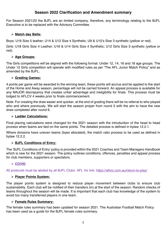## **Season 2022 Clarification and Amendment summary**

For Season 2021/22 the BJFL are an limited company, therefore, any terminology relating to the BJFL Executive is to be replaced with the Advisory Committee.

#### Ø **Match day Balls:**

Boys: U16 Size 5 leather; U14 & U12 Size 4 Synthetic; U9 & U10's Size 3 synthetic (yellow or red).

Girls: U18 Girls Size 4 Leather; U16 & U14 Girls Size 4 Synthetic; U12 Girls Size 3 synthetic (yellow or red).

#### Ø **Age Groups:**

The Girls competitions will be aligned with the following format: Under 12, 14, 16 and 18 age groups. The Under 12 Girls competition will operate with modified rules as per "The AFL Junior Match Policy" and as amended by the BJFL.

#### Ø **Grading Games:**

4 points per game will be awarded to the winning team, these points will accrue and be applied to the start of the Home and Away season, percentage will not be carried forward. An appeal process is available for any MAJOR discrepancy that creates unfair advantage and ineligibility for finals. This process must be lodged to AFLCV 4 weeks prior to finals commencement.

Note: For creating the draw easier and quicker, at the end of grading there will be no referral to who played who and where previously. We will start the season proper from round 5 with the aim to have the new draw completed after round 6.

#### Ø **Ladder Calculations:**

Final placing calculations were changed for the 2021 season with the introduction of the head to head process when teams are tied on the same points. The detailed process is defined in bylaw 12.2.1.

Where divisions have uneven teams (byes allocated), the match ratio process to be used as defined in bylaw 12.2.2

#### Ø **BJFL Conditions of Entry:**

The 'BJFL Conditions of Entry' policy is provided within the 2021 Coaches and Team Managers Handbook which is new for the 2021 season. The policy outlines conditions, offences, penalties and appeal process for club members, supporters or spectators.

#### Ø **COVID**

All protocols must be abided by all BJFL Clubs. AFL Vic link: https://aflvic.com.au/return-to-play/

#### Ø **Player Points System:**

The player points system is designed to reduce player movement between clubs to ensure club sustainability. Each club will be notified of their transfers (in) at the start of the season. Random checks of teams throughout the season will be made. It is important that each club has knowledge of the system to avoid too many transferred players in one team.

#### Ø **Female Rules Summary:**

The female rules summary has been updated for season 2021. The Australian Football Match Policy has been used as a guide for the BJFL female rules summary.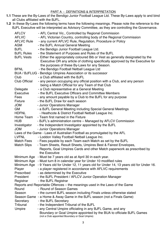- **1.1** These are the By-Laws of the Bendigo Junior Football League Ltd. These By-Laws apply to and bind all Clubs affiliated with the BJFL.
- **1.2** In these By-Laws the following terms have the following meanings. Please note the reference to the BJFL Executive will be interpreted as Advisory Committee, as they are controlling the Governance.

| <b>AFLCV</b>         | - AFL Central Vic., Controlled by Regional Commission                                                                                                                                                              |
|----------------------|--------------------------------------------------------------------------------------------------------------------------------------------------------------------------------------------------------------------|
| <b>AFLVC</b>         | - AFL Victorian Country, controlling body of the Regional Commission                                                                                                                                               |
| <b>AFLVC Rule</b>    | - any current AFLVC Rule, Regulation, Procedure or Policy                                                                                                                                                          |
| <b>AGM</b>           | - the BJFL Annual General Meeting                                                                                                                                                                                  |
| <b>BJFL</b>          | - the Bendigo Junior Football League Ltd.                                                                                                                                                                          |
| <b>BJFL Rules</b>    | - the Statement of Purposes and Rules of the BJFL                                                                                                                                                                  |
| <b>BJFL Vests</b>    | - Either the appropriately coloured Bib or Vest as generally designated by the<br>Executive OR any article of clothing specifically approved by the Executive for<br>the purposes of these By-Laws for any Season. |
| <b>BFNL</b>          | - the Bendigo Football Netball League Ltd                                                                                                                                                                          |
|                      | BUA / BJFLUG - Bendigo Umpires Association or its successor                                                                                                                                                        |
| Club                 | - a Club affiliated with the BJFL                                                                                                                                                                                  |
| <b>Club Official</b> | - any person occupying any official position with a Club, and any person<br>being a Match Official for any Team of that Club                                                                                       |
| Delegate             | - a Club representative at a General Meeting                                                                                                                                                                       |
| Executive            | - the BJFL Executive Officers and Committee Members                                                                                                                                                                |
| Fees                 | - any amount payable by a Club to the BJFL for any purpose                                                                                                                                                         |
| Fixture              | - the BJFL Draw for each season                                                                                                                                                                                    |
| <b>NOL</b>           | - Junior Operations Manager                                                                                                                                                                                        |
| <b>GM</b>            | - a BJFL General Meeting including Special General Meetings                                                                                                                                                        |
| <b>HDFNL</b>         | - Heathcote & District Football Netball League Inc.                                                                                                                                                                |
| Home Team            | - Team first named in the Fixture                                                                                                                                                                                  |
| <b>HUB</b>           | - BJFL's administration centre - Managed by AFLCV Commission                                                                                                                                                       |
| Investigator         | - the Independent Investigator appointed by the BJFL                                                                                                                                                               |
| <b>JOM</b>           | - Junior Operations Manager                                                                                                                                                                                        |
|                      | Laws of the Game - Laws of Australian Football as promulgated by the AFL                                                                                                                                           |
| <b>LVFNL</b>         | - Loddon Valley Football Netball League Inc.                                                                                                                                                                       |
| <b>Match Fees</b>    | - Fees payable by each Team each Match as set by the BJFL                                                                                                                                                          |
| <b>Match Slips</b>   | - Team Sheets, Result Sheets, Umpires Best & Fairest Envelopes,                                                                                                                                                    |
|                      | Reports, Goal Umpires Cards and other Match paperwork as prescribed by<br>the Executive                                                                                                                            |
|                      | Minimum Age - Must be 7 years old as at April 30 in each year.                                                                                                                                                     |
|                      | Minimum Age - Must turn 8 in calendar year for Under 10 modified rules                                                                                                                                             |
|                      | Minimum Age - 9 Years old for Under 12, 11 years old for Under 14, 13 years old for Under 16.                                                                                                                      |
| Player               | - a player registered in accordance with AFLVC requirements                                                                                                                                                        |
| Prescribed           | - as determined by the Executive                                                                                                                                                                                   |
| President            | - the BJFL President / AFLCV Junior Operation Manager                                                                                                                                                              |
| Registrar            | - the BJFL Registrar                                                                                                                                                                                               |
|                      | Reports and Reportable Offences – the meanings used in the Laws of the Game                                                                                                                                        |
| Round                | - Round of Season Games                                                                                                                                                                                            |
| Season               | - the current BJFL season including Finals unless otherwise stated                                                                                                                                                 |
|                      | Season Game - a Home & Away Game in the BJFL season (not a Finals Game)                                                                                                                                            |
| Secretary            | - the BJFL Secretary                                                                                                                                                                                               |
| Tribunal             | - the Independent Tribunal of the BJFL                                                                                                                                                                             |
| Umpire               | - any Central Umpire officiating in any BJFL Game, and any                                                                                                                                                         |
|                      | Boundary or Goal Umpire appointed by the BUA to officiate BJFL Games<br>(not a Club appointed Boundary or Goal Umpire)                                                                                             |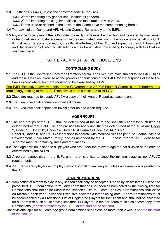- **1.3** In these By-Laws, unless the context otherwise requires
	- **1.3.1** Words importing any gender shall include all genders**.**
	- **1.3.2** Words importing the singular shall include the plural and vice versa.
	- **1.3.3** Terms used or defined in the Laws of the Game have the same meaning herein.
- **1.4** The Laws of the Game and AFL Victoria Country Rules apply to the BJFL.
- **1.5** Any notice to be given to the JOM under these By-Laws must be in writing and delivered by mail, email or hand delivery or postal address within the designated time limit. If the notice is on behalf of a Club it must be on, or accompanied by, the official letterhead of the Club and signed by the Club President and Secretary or by Club Officials acting on their behalf. Any notice failing to comply with this By-Law shall be invalid.

## PART B - ADMINISTRATIVE PROVISIONS

#### **CONTROLLING BODY**

**2.1** The BJFL is the Controlling Body for all matters herein. The Executive may, subject to the BJFL Rules and these By-Laws, exercise all the powers and functions of the BJFL for the purposes of these By-Laws except where such are required to be exercised by a GM.

The BJFL Executive have reappointed the Governance to AFLCV Football Commission. Therefore, any terminology relating to the BJFL Executive is to be substituted to AFLCV

- **2.2** Clubs are required to supply AFLCV a copy of their Annual Report at seasons end.
- **2.3** The Executive shall annually appoint a Tribunal.
- **2.4** The Executive shall appoint an Investigator as and when required.

#### **AGE GROUPS**

**3.1** The age groups of the BJFL shall be determined at the AGM and shall then apply for such time as determined at that AGM. The age divisions to apply until then as determined at the AGM are Under 9, Under 10, Under 12, Under 14, Under 16 & Females Under 12, 14, 16 & 18. Under 9, Under 10 and U12 Girls' divisions to operate with modified rules as per "The Football Victoria

Development Junior Match Policy" and as amended by the BJFL. Please refer to BJFL website for separate manual containing rules and regulations.

- **3.2** Each age division is open to all players who are under the relevant age for that division at the date as determined by the AFLVC.
- **3.3** A person cannot play in the BJFL until he or she has attained the minimum age as per AFLVC requirements.
- **3.4** BJFL registered player cannot play Senior Football in any league, unless an exemption is granted by the BJFL.

#### **TEAM NOMINATIONS**

- **4.1** Nomination of a team to play in any season shall only be accepted if made by an affiliated Club on the prescribed BJFL nomination form. Any Team that has not been so nominated by the closing time for Nominations shall not be included in that season's Fixture. Team Age Group Nominations shall close on **March 1** each year unless the Executive declares a later closing date. Team Nominations must be accompanied by a Provisional List of Registered Players for that Team and shall not be accepted for a Team with such a List having less than 14 Players. A fee per Team must also accompany team Nominations (fees determined by the BJFL at the start of the season).
- The divisional split for all Team age group nominations shall close no more than 2 weeks prior to the start of the season.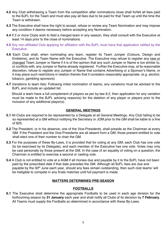- **4.2** Any Club withdrawing a Team from the competition after nominations close shall forfeit all fees paid to the BJFL for the Team and must also pay all fees due to be paid for that Team up until the time the Team is withdrawn.
- **4.3** The Executive shall have the right to accept, refuse or review any Team Nomination and may impose any condition it deems necessary before accepting any Nomination.
- **4.4** If 2 or more Clubs wish to field a merged team in any season, they shall consult with the Executive at least 14 days prior to the close of nominations.
- **4.5** Any non-affiliated Club applying for affiliation with the BJFL must have that application ratified by the Executive.
- **4.6** Each Club shall, when nominating any team, register its Team Jumper (Colours, Design and Emblems), and its Team Name with the Executive. The Executive may refuse to register any new or changed Team Jumper or Name if it is of the opinion that any such Jumper or Name is too similar to, or conflicts with, any Jumper or Name already registered. Further the Executive may, at its reasonable discretion, refuse to register any Jumper or Name that contains Advertising or a Sponsor's Name, or it may place such restrictions in relation thereto that it considers reasonably appropriate. (e.g. alcohol, tobacco, gambling sponsors)
- **4.7** Variations to team lists: Following initial nomination of teams, any variations must be advised to the BJFL and include an updated list.

 Should a team have a full complement of players as per by-law 8.2, then application for any variation must be made to the BJFL advising reason(s) for the deletion of any player or players prior to the inclusion of any additional player(s).

#### **GENERAL MEETINGS**

- **5.1** All Clubs are required to be represented by a Delegate at all General Meetings. Any Club failing to be so represented at a GM without notifying the Secretary or JOM prior to the GM shall be liable to a fine of \$25.
- **5.2** The President, or in his absence, one of the Vice-Presidents, shall preside as the Chairman at every GM. If the President and the Vice-Presidents are all absent from a GM, those present entitled to vote shall elect one of their number to chair the GM.
- **5.3** For the purposes of these By-Laws, it is provided that for voting at any GM, each Club has one vote (to be exercised by its Delegate), and each member of the Executive has one vote. Votes may only be cast personally by those present at the GM. In the case of an equality of voting on a question, the Chairman is entitled to exercise a second or casting vote.
- **5.4** A Club is not entitled to vote at a AGM if all monies due and payable by it to the BJFL have not been paid by the prescribed date if that date precedes the GM. Although all BJFL fees are due and payable by the 30<sup>th</sup> June each year, should any fees remain outstanding, then such club teams' will be ineligible to compete in any finals matches until full payment is made.

#### **MATTERS DETERMINED PRE-SEASON**

#### **FOOTBALLS**

**6.1** The Executive shall determine the appropriate Footballs to be used in each age division for the forthcoming season by **31 January** each year and shall notify all Clubs of its decision by **7 February**. All Teams must supply the Footballs so determined in accordance with these By-Laws.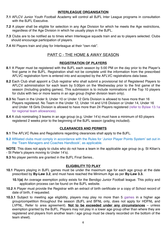#### **INTERLEAGUE ORGANISATION**

- **7.1** AFLCV Junior Youth Football Academy will control all BJFL Inter League programs in consultation with the BJFL Executive.
- **7.2** A player shall be eligible for selection in any Age Division for which he meets the Age restrictions, regardless of the Age Division in which he usually plays in the BJFL.
- **7.3** Clubs are to be notified as to times when Interleague squads train and as to players selected. Clubs should encourage participation of players.
- **7.4** All Players train and play for Interleague at their "own risk".

## PART C - THE HOME & AWAY SEASON

#### **REGISTRATION OF PLAYERS**

- **8.1** A Player must be registered with the BJFL each season by 5:00 PM on the day prior to the Player's first game in the BJFL. Registration shall not be complete until the information from the prescribed AFLVC registration form is entered into and accepted by the AFLVC registrations data base.
- **8.2** Each Club shall appoint a Club registrar who shall submit a provisional list of Registered Players to AFLCV administration for each team by 5:00pm on the Wednesday prior to the first game of the season (Including grading games). This submission is to include nominations of the Top 10 players for clubs with two or more teams in an age group (higher division team only).
- **8.3** No Team in the Under 9, Under 10 or Under 12 Girls Division is allowed to have more than 16 Players registered. No Team in the Under 12, Under 14 and U16 Division or Under 14, Under 16 and Under 18 Girls Division is allowed to have more than 24 Players registered (refer to Bylaw 13.1a for regional team allowances).
- **8.4** A club nominating 3 teams in an age group (e.g. Under 14's) must have a minimum of 63 players registered 2 weeks prior to the beginning of the BJFL season (grading included).

#### **CLEARANCES AND PERMITS**

- **9.1** The AFLVC Rules and Regulations regarding clearances shall apply to the BJFL.
- **9.2** Affiliated clubs must comply in accordance with the Rules for 'Junior Player Points System' set out in the 'Team Managers and Coaches Handbook', as applicable.

**NOTE**: This does not apply to clubs who do not have a team in the applicable age group (e.g. St Kilian's - St Peter's players moving to Under 14's).

**9.3** No player permits are granted in the BJFL Final Series..

#### **ELIGIBILITY TO PLAY**

- **10.1** Players playing in BJFL games must be under the maximum age for each age group at the date prescribed by **By-Law 3.2**, and must have reached the Minimum Age as per **By-Law 3.3.**
	- **10.1(a)** An overage exemption policy exists for the Bendigo Junior Football league. This policy and application process can be found on the BJFL website.
- **10.2** A Player must provide the Registrar with an extract of birth certificate or a copy of School record of date of birth, if requested.
- **10.3.1** Subject to meeting age eligibility, players may play no more than 5 games in a higher age group/competition throughout the season (BJFL and BFNL only, does not apply for HDFNL and LVFNL. Refer to area agreement). **Not to be exceeded under any circumstances** – unless exemption granted by the BJFL. Players may not play in a lower age group other than where they are registered and players from another team / age group must be clearly recorded on the bottom of the team sheet).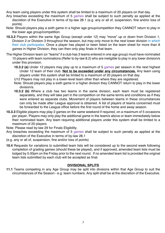Any team using players under this system shall be limited to a maximum of 20 players on that day.

- Any breaches exceeding the maximum of 5 games shall be subject to such penalty as applied at the discretion of the Executive in terms of by-law 28.1 (e.g. any or all of, suspension, fine and/or loss of points)
- Note: Should players play a sixth game in a higher age group/competition they CANNOT return to play in the lower age group/competition.
- **10.3.2** Players within the same Age Group (except under 12) may "move" up or down from Division 1, Division 2 or Division 3 throughout the season, but may only move to the next lower division in which their club participates. Once a player has played or been listed on the team sheet for more than 8 games in Higher Division, they can then only play finals in that team.
- The Higher Division team (or "teams" if a club has 3 teams entered in one age group) must have nominated 10 players with team nominations (Refer to by-law 8.2) who are ineligible to play in any lower division/s under this provision.
	- **10.3.2 (a)** Under 12 players may play up to a maximum of 5 games per season in the next highest Under 12 team of their club. **Not to be exceeded under any circumstances.** Any team using players under this system shall be limited to a maximum of 20 players on that day.
	- U12 Players may not play in a lower-level team other than where they are registered.
	- Note: Should players play a sixth game in a higher division they CANNOT return to play in the lower division/s.
	- **10.3.2 (b)** Where a club has two teams in the same division, each team must be registered separately, and they will take part in the competition on the same terms and conditions as if they were entered as separate clubs. Movement of players between teams in these circumstances can only be made after League approval is obtained. A list of players of teams concerned must be forwarded to the League office before the first round of the home and away season.
- **10.3.3** Eligible players may play 2 games on the same weekend if required, on a maximum of 5 occasions per player. Players may only play the additional game in the team/s above or team immediately below their nominated team. Any team requiring additional players under this system shall be limited to a maximum of 20 players
- Note: Please read by-law 29 for Finals Eligibility.
- Any breaches exceeding the maximum of 5 games shall be subject to such penalty as applied at the discretion of the Executive in terms of by-law 28.1
- (e.g. any or all of, suspension, fine and/or loss of points)
- **10.4** Requests for variations to submitted team lists will be considered up to the second week following completion of grading games (should these be played), and if approved, amended team lists must be lodged by 5.00pm on the Friday prior to the next round. If no amended team list is provided the original team lists submitted by each club will be accepted as final.

#### **DIVISIONAL SPLITS**

**11.1** Teams competing in any Age Group may be split into divisions within that Age Group to suit the circumstances of the Season - e.g. team numbers. Any split shall be at the discretion of the Executive.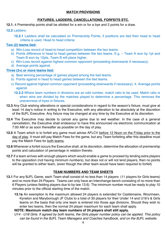#### **MATCH PROVISIONS**

### **FIXTURES, LADDERS, CANCELLATIONS, FORFEITS ETC.**

- **12.1.** 4 Premiership points shall be allotted for a win or for a bye and 2 points for a draw.
- **12.2** Ladders:
	- **12.2.1** Ladders shall be calculated on Premiership Points, if positions are tied then head to head criteria is used. Head to head criteria:

#### **Two (2) teams tied:**

- a) Win-Loss record of head-to-head competition between the two teams.
- b) Points difference in head to head games between the two teams. E.g. Team A won by 1pt and Team B won by 12pts, Team B will place higher.
- c) Win-Loss record against highest common opponent (proceeding downwards if necessary).
- d) Average points against.

#### **Three (3+) or more teams tied:**

- a) Best winning percentage of games played among the tied teams.
- b) Points against in head to head games between the tied teams.
- c) Record against highest common opponent (proceeding downwards if necessary). 4. Average points against.
	- **12.2.2** Where team numbers in divisions are an odd number, match ratio to be used. Match ratio is when wins are divided by the matches played to determine a percentage. This removes the unevenness of byes in fixtures.
- **12.3** Any Club wishing alterations or special considerations in regard to the season's fixture, must give at least 14 day's notice in writing to the Executive, with any alteration to be absolutely at the discretion of the BJFL Executive. Any fixture may be changed at any time by the Executive at its discretion.
- **12.4** The Executive may decide to cancel any game due to wet weather. In the case of a general cancellation, the Executive shall endeavour to have this announced via electronic communication at 7:00 AM or as soon thereafter as possible on the day of play.
- **12.5** A Team which is to forfeit any game must advise AFLCV before 12 Noon on the Friday prior to the day of play. It must still pay Match Fees for the game, but any Team forfeiting after this deadline must pay the Match Fees for both teams.
- **12.6** Whenever a forfeit occurs the Executive shall, at its discretion, determine the allocation of premiership points and calculation of percentage in relation thereto.
- **12.7** If a team arrives with enough players which would enable a game to proceed by lending extra players to the opposition (not having minimum numbers), but does not or will not lend players, then no points will be granted to either team, (even though the other team would have been required to forfeit)

#### **TEAM NUMBERS AND TEAM SHEETS**

- **13.1** For any BJFL Game, each Team shall consist of no less than 14 players (11 players for Girls teams) and no more than 24 Players. Teams can only have an Interchange bench consisting of no more than 6 Players (unless fielding players due to by-law 13.6). The minimum number must be ready to play 10 minutes prior to the official starting time of the match.
	- **13.1a** An exemption to the maximum allowed 24 players is extended for Castlemaine, Woorineen, Kyneton and Maryborough JF Clubs to a total of 30 players for their Under 14 and U16's & Girls teams on the basis that only one team is entered into those age divisions. Should they wish to enter two teams, then the normal 24 player maximum for each team shall apply.

#### **NOTE: Maximum match day team numbers of 24 players shall still apply.**

*U14 - U18 Girls: If agreed by both teams, the Girls player number policy can be applied. This policy can be found in the BJFL Team Managers and Coaches handbook, and on the BJFL website.*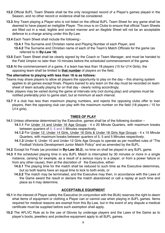- **13.2** Official BJFL Team Sheets shall be the only recognised record of a Player's games played in the Season, and no other record or evidence shall be considered.
- **13.3** Any Team playing a Player who is not listed on the official BJFL Team Sheet for any game shall be deemed to have played an ineligible Player. The onus is on Clubs to ensure that official Team Sheets are filled out in a neat, legible and correct manner and an illegible Sheet will not be an acceptable defence to a charge arising under this By-Law.
- **13.4** Each Team Sheet shall include the following:-
	- **13.4.1** The Surname and Christian name and Playing Number of each Player*,* and
	- **13.4.2** The Surname and Christian name of each of the Team's Match Officials for the game (as referred to in **By-Law 18**)
- **13.5** Each Team Sheet shall be clearly signed by the Coach or Team Manager, and must be handed to the Field Umpire no later than 10 minutes before the scheduled commencement of the game.
- **13.6** At the commencement of a game, if a team has less than 18 players (15 for U14 Girls), the opposing team shall be limited to **that number** of players on the field.

#### **The alternative to playing with less than 18 is as follows:**

- Teams may share players to allow all players the opportunity to play on the day this sharing system applies to all games except finals. Players loaned to any team on the day must be recorded on team sheet of team actually playing for on that day - clearly noting accordingly.
- Note: players may be varied during the game at intervals only (not during play) and umpires must be notified preferably prior to game start, but at minimum at each interval.
- **13.7** If a club has less than maximum playing numbers, and rejects the opposing clubs offer to loan players, then the opposing club can play with the maximum number on the field (18 players / 15 for U14 girls).

#### **TIMES OF PLAY**

- **14.1** Unless otherwise determined by the Executive, games shall be of the following duration
	- **14.1.1** For Under 14 and Under 16 Age Groups 4 x 20 Minute Quarters, with maximum breaks between quarters of 5, 5 and 5 Minutes respectively.
	- **14.1.2** For Under 12, Under 14 Girls, Under 16 Girls & Under 18 Girls Age Groups 4 x 15 Minute Quarters, with maximum breaks between quarters of 5, 5 and 5 Minutes respectively.
	- **14.1.3** Under 9, Under 10 and Under 12 Girls Age Groups to operate as per modified rules of "The Football Victoria Development Junior Match Policy" and as amended by the BJFL.
- **14.2** Except for Finals (as provided in **By-Law 30.2**), no time on shall be played in any BJFL game.
- **14.3** If the scheduled playing time in any BJFL Match is interrupted by 30 minutes or more in a single instance, (arising for example, as a result of a serious injury to a player, or from a power failure or from any other cause), then at the discretion of the Executive, either-
	- **14.3.1** The playing time for the match shall be reduced to such time as the Executive determines, but so both teams have an equal time to kick to both ends, or
	- **14.3.2** The match may be terminated, and the Executive may then, in accordance with the Laws of the Game award the result or declare the match abandoned or call a replay at such time and place as it may determine.

#### **ACCEPTABLE EQUIPMENT**

- **15.1** In the interest of Player safety the Executive (in conjunction with the BUA) reserves the right to deem what items of equipment or clothing a Player can or cannot use when playing in BJFL games. Items required for medical reasons are exempt from this By-Law, but in the event of any dispute a medical certificate must be supplied before such exemption shall apply.
- **15.2** The AFLVC Rule as to the use of Gloves by underage players and the Laws of the Game as to player's boots, jewellery and protective equipment apply to all BJFL games.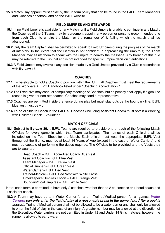**15.3** Match Day apparel must abide by the uniform policy that can be found in the BJFL Team Managers and Coaches handbook and on the BJFL website.

#### **FIELD UMPIRES AND STEWARDS**

- **16.1**. If no Field Umpire is available for any Match, or if a Field Umpire is unable to continue in any Match, the Coaches of the 2 Teams may by agreement appoint any person or persons (recommended one from each Club) to umpire the Match or the remainder of it, failing which the match shall be abandoned.
- **16.2** Only the team Captain shall be permitted to speak to Field Umpires during the progress of the match at intervals. In the event that the Captain is not confident in approaching the umpire(s) the Team Manager may assist them to speak with the umpire to convey the message. Any breach of this rule may be referred to the Tribunal and is not intended for specific umpire decision clarifications.
- **16.3** A Field Umpire may overrule any decision made by a Goal Umpire provided by a Club in accordance with **By-Law 18**

#### **COACHES**

- **17.1** To be eligible to hold a Coaching position within the BJFL, all Coaches must meet the requirements of the Worksafe AFLVC Handbook listed under "Coaching Accreditation."
- **17.2** The Executive may conduct compulsory meetings of Coaches, but no penalty shall apply if a genuine reason is given for non-attendance. Coaches may send a representative
- **17.3** Coaches are permitted inside the fence during play but must stay outside the boundary line. BJFL blue vest must be worn.
- **17.4** To be eligible to Coach in the BJFL all Coaches (Including Assistant Coach) must obtain a Working with Children Check – Volunteer.

#### **MATCH OFFICIALS**

**18.1** Subject to **By-Law 30.1,** BJFL Teams are required to provide one of each of the following Match Officials for every game in which that Team participates. The names of each Official shall be included on the Team Sheet for the Match. Each official must wear the appropriate BJFL Vest throughout the Game, must be at least 14 Years of Age (except in the case of Water Carriers) and must be capable of performing the duties required. The Officials to be provided and the Vests they are to wear are:-

> Head Coach – BJFL Accredited Coach Blue Vest Assistant Coach – BJFL Blue Vest Team Manager – BJFL Yellow Vest Official Runner – BJFL Green Vest Water Carrier – BJFL Red Vest Trainer/Medical – BJFL Red Vest with White Cross Timekeeper's/Umpires Escort – BJFL Orange Vest Boundary/Goal Umpires – BJFL White Vest

Note: each team is permitted to have only 2 coaches, whether that be 2 co-coaches or 1 head coach and 1 assistant coach.

**18.2** A Team may have up to 1 Water Carrier for and 1 Trainer/Medical person for all games*. Water Carriers can only enter the field of play at a reasonable break in the game, (e.g. After a goal is scored).* Trainer / Medical person shall not be allowed to be a water carrier and shall only be allowed to enter the field of play in the case of an injury. A greater number may be allowed at the discretion of the Executive. Water carriers are not permitted in Under 12 and Under 14 Girls matches, however the runner is allowed to carry water.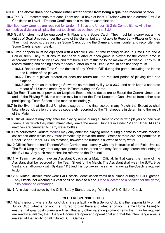#### **NOTE: The above does not exclude either water carrier from being a qualified medical person.**

- **18.3** The BJFL recommends that each Team should have at least 1 Trainer who has a current First Aid Certificate or Level 1 Trainers Certificate as a minimum accreditation.
- **18.4** Boundary Umpires are required for Under 16 Boys and Under 18 Girls Competitions. All other competitive divisions will play the last touch rule as outlined by the BUA.
- **18.5** Goal Umpires must be equipped with Flags and a Score Card. They must fairly carry out all the duties of Goal Umpires under the Laws of the Game, but are not able to Report any Player or Official. They must record scores on their Score Cards during the Game and must confer and reconcile their Score Cards at each break.
- **18.6** Time Keepers must be equipped with a reliable Clock or time-keeping device, a Time Card and a Bell or siren. They must ensure that each quarter of each game is played for the correct time in accordance with these By-Laws, and that breaks are restricted to the maximum allowable. They must record starting and ending times for each quarter on their Time Cards. In addition they must -
	- **18.6.1** Record on the Time Cards details of any "Orders Off" during the game, including the Name and Number of the player.
	- **18.6.2** Ensure a player ordered off does not return until the required period of playing time has elapsed.
	- **18.6.3** Jointly act as Interchange Stewards as required by **By-Law 23.2,** and each keep a separate record of all Scores made by each Team during the Game.
- **18.6 (a)** Each Team must provide an Umpire's Escort whose duties are to Escort the Central Umpire on and off the Playing Field, this person may be either the Time Keeper or Goal Umpire from either side participating. Team Sheets to be marked accordingly.
- **18.7** In the Event that the Goal Umpires disagree on the final scores in any Match, the Executive shall take into consideration the scores separately recorded by the Timekeepers in determining the result of the Match.
- **18.8** Official Runners may only enter the playing arena during a Game to confer with players of their own Team, after which they must immediately leave the arena. Runners in Under 12 and Under 14 Girls matches are permitted to carry water bottles.
- **18.9** Trainers/Water Carriers/medics may only enter the playing arena during a game to provide medical assistance after which they must immediately leave the arena. Water carriers are not permitted in Under 12 and Under 14 Girls matches, however the runner is allowed to carry water...
- **18.10** Official Runners and Trainers/Water Carriers must comply with any instruction of the Field Umpire. The Field Umpire may order any such person off the arena and may Report any person who infringes this By-Law. Any such report shall be referred to the Tribunal.
- **18.11** A Team may also have an Assistant Coach as a Match Official. In that case, the name of the Assistant shall be recorded on the Team Sheet for the Match. The Assistant shall wear the BJFL Blue Vest and shall comply with **By-Law 17.3** and this By-Law in the same manner as the Coach is required to do.
- **18.12** All Match Officials must wear BJFL official identification vests at all times during all BJFL games. Any Official not wearing his vest shall be liable to a fine. Once allocated to a position for the game, bibs cannot be exchanged.
- **18.13** All clubs must abide by the Child Safety Standards, e.g. Working With Children Check

#### **CLUB RESPONSIBILITIES**

**19.1** At any ground where a Junior Club shares a facility with a Senior Club, it is the responsibility of that Junior Club (whether or not it is fixtured to play there and whether or not it is the Home Team) to ensure that goal post covers are fitted, that any other safety equipment items that may be required are readily available, that Change Rooms are open and operational and that the interchange area is marked at the facility for all fixtured BJFL Games.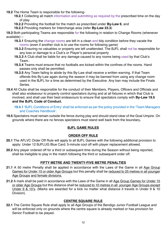**19.2** The Home Team is responsible for the following-

**19.2.1** Collecting all match information and submitting as required by the prescribed time on the day of play.

- **19.2.2** Providing the football for the match as prescribed under **By-Law 6**, and
- **19.2.3** Providing markers for Interchange area (refer **By-Law 23.3**)

**19.3** Both participating Teams are responsible for the following in relation to Change Rooms (whenever available) –

- **19.3.1** Ensuring the change rooms are left in a clean and tidy condition before they vacate the rooms (even if another club is to use the rooms for following game)
- **19.3.2** Ensuring no valuables or property are left unattended. The BJFL shall not be responsible for any loss or damage to a Club's or Player's personal property
- **19.3.3** A Club shall be liable for any damage caused to any rooms being used by that Club's Team..
- **19.3.4** Teams must ensure that no footballs are kicked within the confines of the rooms. Hand passes only shall be permitted.
- **19.3.5** Any Team failing to abide by this By-Law shall receive a written warning. If that Team offends this By-Law again during the season it may be banned from using any change room used in the BJFL for a time as determined by the Executive. Any ban may include the Finals Series.
- 19.4 All Clubs shall be responsible for the conduct of their Members, Players, Officers and Officials and shall also endeavour to properly control spectators during and at all fixtures in which that Club is involved, and shall use their best endeavours to ensure that spectators comply with **By-Law 19.5 and the BJFL Code of Conduct.**

**19.4.1** 'BJFL Conditions of Entry' shall be enforced as per the policy provided in the 'Team Managers and Coaches Handbook'.

**19.5** Spectators must remain outside the fence during play and should stand clear of the Goal Umpire. On grounds where there are no fences spectators must stand well back from the boundary**.**

## **BJFL GAME RULES**

## **ORDER OFF RULE**

- **20.1** The AFLVC Order Off Rule will apply to all BJFL Games with the following additional provision to apply: Under 12 BJFLUG Blue Card; 5-minute cool off with player replacement allowed.
- **20.2** Any player ordered off for a third or subsequent time during the Season without being reported, shall be ineligible to play in the match following the third or subsequent order off.

#### **FIFTY METRE AND TWENTY-FIVE METRE PENALTIES**

- **21.1** A 50 metre Penalty shall be applied in accordance with the Laws of the Game in all Age Group Games for Under 15 or older Age Groups but this penalty shall be reduced to 25 metres in all younger Age Groups and female divisions.
- **21.2** A mark shall be paid in accordance with the Laws of the Game in all Age Group Games for Under 15 or older Age Groups but this distance shall be reduced to 10 metres in all younger Age Groups except Under 9 & 10's. (Marks are awarded for a kick no matter what distance it travels in Under 9 & 10 Division).

#### **CENTRE SQUARE RULE**

**22.1** The Centre Square Rule shall apply to all Age Groups of the Bendigo Junior Football League and will be enforced only on grounds where the centre square is already marked or has provision for Senior Football to be played.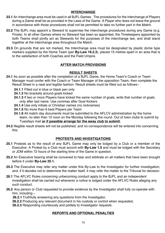#### **INTERCHANGE**

- **23.1** An Interchange area must be used in all BJFL Games. The procedures for the interchange of Players during a Game shall be as provided in the Laws of the Game. A Player who does not leave the ground in accordance with those procedures shall not be permitted to take no further part in the Match.
- **23.2** The BJFL may appoint a Steward to supervise the interchange procedures during any Game (e.g. Finals). In all other Games where no Steward has been so appointed, the Timekeepers appointed by both Teams shall jointly act as Stewards for the purposes of the interchange law, and shall stand together at the interchange area throughout the Match.
- **23.3** On grounds that are not marked, the Interchange area must be designated by plastic dome type markers supplied by the Home Team (per **By-Law 19.2.3**), placed 15 metres apart in an area that is to the satisfaction of both Coaches and the Field Umpire.

#### **AFTER MATCH PROVISIONS**

#### **RESULT SHEETS**

- **24.1** As soon as possible after the completion of a BJFL Game, the Home Team's Coach or Team Manager must confer with the Coach or Team Manager of the opposition Team, then complete the Result Sheet in a neat and legible fashion. Result sheets must be filled out as follows:-
	- **24.1.1** Filled out in blue or black pen only
	- **24.1.2** No brackets around goals kicked
	- **24.1.3** If two or more Players have kicked the same number of goals, write that number of goals only after last name. Use commas after Goal Kickers
	- **24.1.4** Use only initials or Christian names (no nicknames)
	- **24.1.5** No more than 6 best Players per Team
	- **24.1.6** All match day documents must be submitted to the AFLCV administration by the home team, no later than 12 noon on the Monday following the round. Out of town clubs to submit by Tuesdays mail **or if possible arrange for the away club to submit.**
- **24.2** Illegible result sheets will not be published, and no correspondence will be entered into concerning this.

#### **PROTESTS AND INVESTIGATIONS**

- **25.1** Protests as to the result of any BJFL Game may only be lodged by a Club or a member of the Executive. A Protest by a Club must accord with **By-Law 1.5** and must be lodged with the Secretary or JOM within 72 hours of the starting time of the Game in question.
- **25.2** An Executive hearing shall be convened to hear and arbitrate on all matters that have been brought before it under **By-Law 25.1.**
- **25.3** The Executive may refer any matter under this By-Law to the Investigator for further investigation, and, if it decides not to determine the matter itself, it may refer the matter to the Tribunal for decision.
- **26.1** The AFLVC Rules concerning unbecoming conduct apply to the BJFL and an independent investigation shall be carried out whenever a notice is lodged under the AFLVC Rules alleging any such conduct.
- **26.2** Any person or Club requested to provide evidence by the Investigator shall fully co-operate with him, including –
	- **26.2.1** Truthfully answering any questions from the Investigator,
	- **26.2.2** Producing any relevant document in his custody or control when requested,
	- **26.2.3** Responding courteously and politely to Investigator requests.

#### **REPORTS AND OPTIONAL PENALTIES**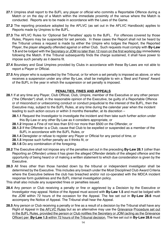- **27.1** Umpires shall report to the BJFL any player or official who commits a Reportable Offence during a Match or on the day of a Match within the immediate proximity of the venue where the Match is conducted. Reports are to be made in accordance with the Laws of the Game.
- **27.2** The reporting procedure adopted by the AFLVC (as set out in the AFLVC Handbook) applies to Reports made by Umpires to the BJFL.
- **27.3** The AFLVC Rules for 'Optional Set Penalties' apply to the BJFL. For offences covered by those Rules, Players may be suspended for set periods. In these cases the Report shall not be heard by the Tribunal unless a request is made by either the Umpire who lodges the Report, the Reported Player, the player allegedly offended against or either Club. Such requests must comply with **By-Law 1.5** and be lodged with the Secretary or JOM no later than 12 noon on the first working day immediately following the Match. If the Tribunal subsequently finds the charge sustained, it shall have power to impose such penalty as it deems fit.
- **27.4** Boundary and Goal Umpires provided by Clubs in accordance with these By-Laws are not able to report a Player or Official.
- **27.5** Any player who is suspended by the Tribunal, or for whom a set penalty is imposed as above, or who receives a suspension under any other By-Law, shall be ineligible to win a 'Best and Fairest' Award of the BJFL in the year in which the suspension or set penalty is imposed.

#### **PENALTIES, FINES AND APPEALS**

- **28.1** If at any time any Player, Club Official, Club, Umpire, member of the Executive or any other person ("the Offender") shall, in the reasonable opinion of the Executive, be guilty of a Reportable Offence or of misconduct or unbecoming conduct or conduct prejudicial to the interest of the BJFL, then the Executive may, subject to the BJFL Rules, at any time during the calendar year when the incident leading to such action occurs or within 3 months thereafter, at its discretion –
	- **28.1.1** Request the Investigator to investigate the incident and then take such further action under this By-Law or any other By-Law as it considers appropriate, or
	- **28.1.2** Impose a Fine of not less than \$10 nor more than \$500 on the Offender, or
	- **28.1.3** If the Offender is a Club, cause that Club to be expelled or suspended as a member of the BJFL in accordance with the BJFL Rules, or
	- **28.1.4** Deregister or refuse to register any Player or Official for any period of time, or
	- **28.1.5** Impose such further penalty as it thinks fit, or
	- **28.1.6** Do any combination of the foregoing.
- **28.2** The Executive shall not impose any of the penalties set out in the preceding **By-Law 28.1** (other than Reporting an Offender) unless it has given the alleged Offender details of the alleged offence and the opportunity of being heard or of making a written statement to which due consideration is given by the Executive.
- **28.3** All fines other than those handed down by the tribunal or independent investigator shall be determined by the Executive. This includes any breach under the Most Disciplined Club Award Criteria where the Executive believe the club has breached and/or not co-operated with the MDCA incident response form guidelines and the BJFL internal investigation policy.

This shall also include any suspended fines or penalties issued.

- **28.4** Any person or Club receiving a penalty or fine or aggrieved by a Decision by the Executive or Investigator may appeal. Notice of the Appeal must accord with **By-Law 1.5** and must be lodged with the JOM within 72 hours of the occasion for the Appeal. The fee set out in **By-Law 28.6** must accompany the Notice of Appeal. The Tribunal shall hear the Appeal.
- **28.5** Any person or Club receiving a penalty or fine as a result of a decision by the Tribunal shall have any Right of Appeal in the AFLVC Rules but as an alternative may use the Grievance Procedure set out in the BJFL Rules, provided the person or Club notifies the Secretary or JOM (acting as the Grievance Officer) per **By-Law 1.5** within 72 hours of the Tribunal decision. The fee set out in **By-Law 28.6** must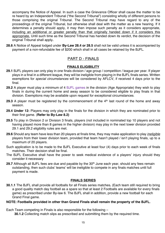accompany the Notice of Appeal. In such a case the Grievance Officer shall cause the matter to be re heard by an Independent Tribunal ("the Second Tribunal") consisting wholly of different persons to those comprising the original Tribunal. The Second Tribunal may have regard to any of the proceedings of the original Tribunal, but otherwise shall deal with the matter as a new hearing. If it determines a penalty should apply, it may then impose such penalty as it considers appropriate, including an additional or greater penalty than that originally handed down if it considers this appropriate. Until such time as the Second Tribunal has handed down its verdict, the decision of the original Tribunal shall apply**.**

**28.6** A Notice of Appeal lodged under **By-Law 28.4 or 28.5** shall not be valid unless it is accompanied by payment of a non-refundable fee of \$200 which shall in all cases be retained by the BJFL.

## PART D - FINALS

#### **FINALS ELIGIBILITY**

- **29.1** BJFL players can only play in one finals division / age group / competition / league per year. If player plays in a final in a different league, they will be ineligible from playing in the BJFL finals series. Written exemptions for *special circumstances* will be considered by AFLCV, if received 4 days prior to the final.
- **29.2** A player must play a minimum of 4 BJFL games in the division (Age Appropriate) they wish to play finals in during the current home and away season to be considered eligible to play finals in that division. Exemptions may be available upon request for exceptional circumstances.
- 29.3 A player must be registered by the commencement of the 4<sup>th</sup> last round of the home and away season.
- **29.4 Under 12:** Players may only play in the finals for the division in which they are nominated prior to their first game. (**Refer to By-Law 8.2)**
- **29.5** To play in Division 2 or Division 3 finals, players (not included in nominated top 10 players and not having played more than 8 games in the higher division) may play in the next lower division provided 29.1 and 29.2 eligibility rules are met.
- **29.6** Should any team have less than 20 players at finals time, they may make application to play *ineligible* players from their lower division team, provided that team hasn't played / isn't playing finals, up to a maximum of 20 players.
- Such application is to be made to the BJFL Executive at least four (4) days prior to each week of finals matches. Their decision shall be final.
- The BJFL Executive shall have the power to seek medical evidence of a players' injury should they consider it necessary
- 29.7 Although all BJFL fees are due and payable by the 30<sup>th</sup> June each year, should any fees remain outstanding, then such clubs' teams' will be ineligible to compete in any finals matches until full payment is made.

#### **FINALS SERIES**

**30.1.1** The BJFL shall provide all footballs for all Finals series matches**.** (Each team still required to bring a good quality match day football as a spare so that at least 2 Footballs are available for every finals game) as prescribed under By-law 6. The BJFL shall in addition, provide a new football for each Grand Final game.

#### **NOTE: Footballs provided in other than Grand Finals shall remain the property of the BJFL.**

Each Team competing in Finals is also responsible for the following – **30.1.2** Collecting match slips as prescribed and submitting them by the required time.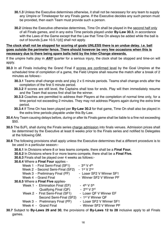- **30.1.3** Unless the Executive determines otherwise, it shall not be necessary for any team to supply any Umpire or Timekeeper for any Finals game. If the Executive decides any such person must be provided, then each Team must provide such a person.
- **30.2** Unless the Executive otherwise determines, Time On shall be played in the second half only of all Finals games, and in any extra Time periods played under **By-Law 30.3**, in accordance with the Laws of the Game except that the Law that Time On always be added while the ball is out of bounds [Law 10.5.1(d)] shall not apply.

#### **The clock shall not be stopped for scoring of goals UNLESS there is an undue delay. i.e. ball goes outside the perimeter fence. There should however be very few occasions when this is necessary due to there being spare balls held by the Inter-Change stewards.**

If the umpire halts play in *ANY* quarter for a serious injury, the clock shall be stopped and time-on will apply.

- **30.3** In all Finals including the Grand Final if scores are confirmed level by the Goal Umpires at the scheduled time of completion of a game, the Field Umpire shall resume the match after a break of 2 minutes as follows:-
	- **30.3.1** Teams shall change ends and play 2 x 5 minute periods. Teams shall change ends after the completion of the first 5 minute period.
	- **30.3.2** If scores are still level, the Captains shall toss for ends. Play will then immediately resume and the Team that scores first shall be the winner.
	- **30.3.3** Coaches are permitted to address their Players at the completion of normal time only, for a time period not exceeding 2 minutes. They may not address Players again during the extra time period.
	- **30.3.4** If Time On has been played per **By-Law 30.2** for that game, Time On shall also be played in the extra time periods playable under this By-Law.
- **30.4** Any Team causing delays before, during or after its Finals game shall be liable to a fine not exceeding \$50.
- **30.5** The BJFL shall during the Finals series charge admission into finals venues. Admission prices shall be determined by the Executive at least 6 weeks prior to the Finals series and notified to Delegates at the following GM.
- **30.6** The following provisions shall apply unless the Executive determines that a different procedure is to be used in a particular season:-
	- **30.6.1** In Divisions where 8 or less teams compete, there shall be a **Final Four.**
	- **30.6.2** In Divisions where 9 or more teams compete, there shall be a **Final Five.**
	- **30.6.3** Finals shall be played over 4 weeks as follows:-

# **30.6.4** Where a **Final Four** applies -

| Week 1 - First Semi-Final (SF1)                                                                                                                                                            | - $3^{\text{rd}}$ V 4 <sup>th</sup> |  |  |
|--------------------------------------------------------------------------------------------------------------------------------------------------------------------------------------------|-------------------------------------|--|--|
| Week 2 - Second Semi-Final (SF2)                                                                                                                                                           | - $1st V 2nd$                       |  |  |
| Week 3 - Preliminary Final (PF)                                                                                                                                                            | - Loser SF2 V Winner SF1            |  |  |
| Week 4 - Grand Final                                                                                                                                                                       | - Winner SF2 V Winner PF            |  |  |
| 30.6.5 Where a Final Five applies-                                                                                                                                                         |                                     |  |  |
| Week 1 - Elimination Final (EF)                                                                                                                                                            | - $4^{th}$ V $5^{th}$               |  |  |
| Qualifying Final (QF)                                                                                                                                                                      | - $2nd$ V $3rd$                     |  |  |
| Week 2 - First Semi-Final (SF1)                                                                                                                                                            | - Loser QF V Winner EF              |  |  |
| Second Semi-Final (SF2)                                                                                                                                                                    | - 1 <sup>st</sup> V Winner QF       |  |  |
| Week 3 - Preliminary Final (PF)                                                                                                                                                            | - Loser SF2 V Winner SF1            |  |  |
| Week 4 - Grand Final                                                                                                                                                                       | - Winner SF2 V Winner PF            |  |  |
| $0.12 - 1.1 - 0.1 - 0.0$ and $0.01 - 0.1$<br>$\frac{1}{2}$ . $\frac{1}{2}$ . $\frac{1}{2}$ . $\frac{1}{2}$ . $\frac{1}{2}$ . $\frac{1}{2}$ . $\frac{1}{2}$ . $\frac{1}{2}$ . $\frac{1}{2}$ |                                     |  |  |

**30.7** Subject to **By-Laws 29 and 30**, the provisions of **By-Laws 12 to 28** inclusive apply to all Finals games.